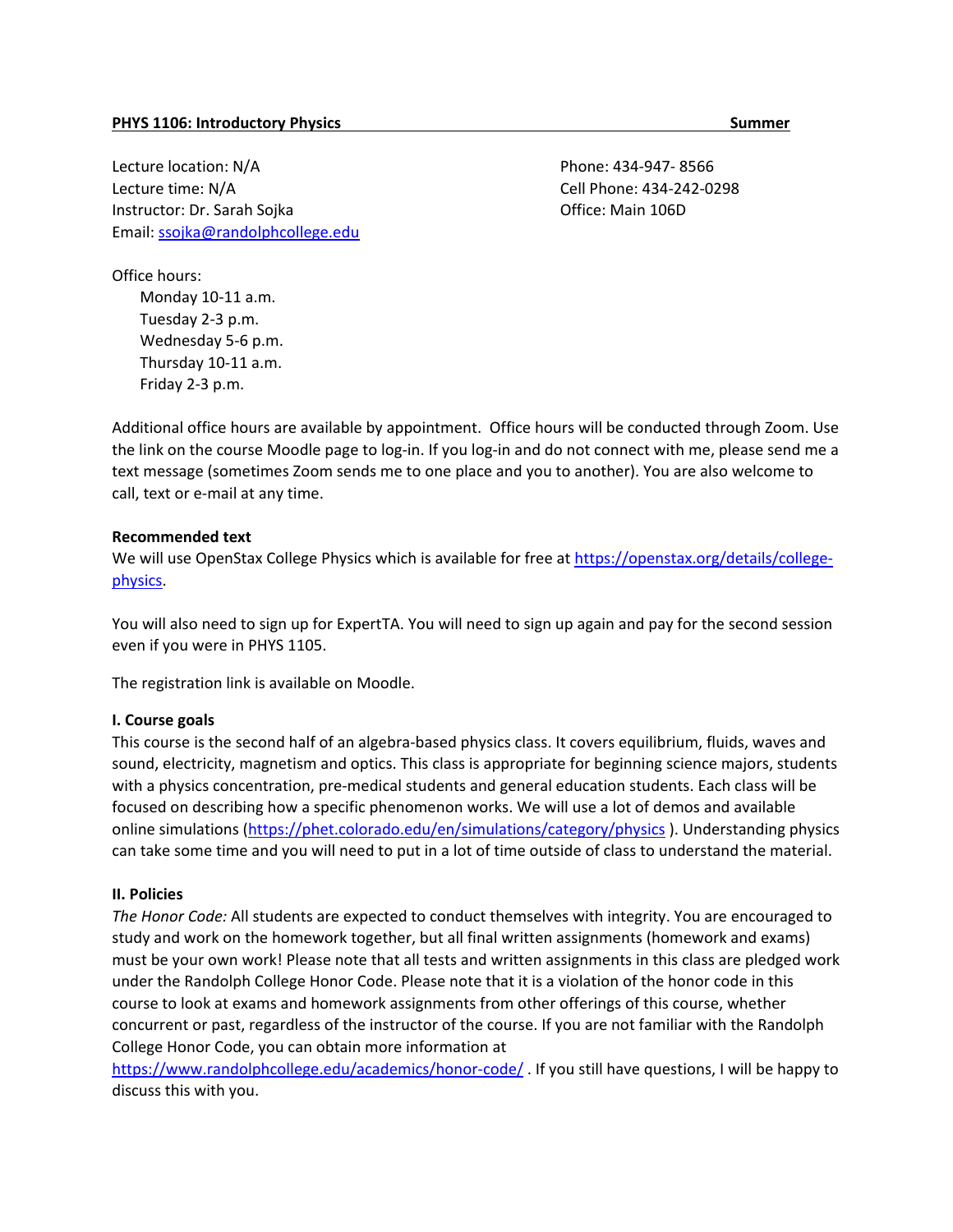Lecture location: N/A Lecture time: N/A Instructor: Dr. Sarah Sojka Email: [ssojka@randolphcollege.edu](mailto:ssojka@randolphcollege.edu)  Phone: 434-947- 8566 Cell Phone: 434-242-0298 Office: Main 106D

Office hours:

Monday 10-11 a.m. Tuesday 2-3 p.m. Wednesday 5-6 p.m. Thursday 10-11 a.m. Friday 2-3 p.m.

Additional office hours are available by appointment. Office hours will be conducted through Zoom. Use the link on the course Moodle page to log-in. If you log-in and do not connect with me, please send me a text message (sometimes Zoom sends me to one place and you to another). You are also welcome to call, text or e-mail at any time.

### **Recommended text**

We will use OpenStax College Physics which is available for free at [https://openstax.org/details/college](https://openstax.org/details/college-physics)[physics.](https://openstax.org/details/college-physics)

You will also need to sign up for ExpertTA. You will need to sign up again and pay for the second session even if you were in PHYS 1105.

The registration link is available on Moodle.

#### **I. Course goals**

This course is the second half of an algebra-based physics class. It covers equilibrium, fluids, waves and sound, electricity, magnetism and optics. This class is appropriate for beginning science majors, students with a physics concentration, pre-medical students and general education students. Each class will be focused on describing how a specific phenomenon works. We will use a lot of demos and available online simulations [\(https://phet.colorado.edu/en/simulations/category/physics](https://phet.colorado.edu/en/simulations/category/physics)). Understanding physics can take some time and you will need to put in a lot of time outside of class to understand the material.

#### **II. Policies**

*The Honor Code:* All students are expected to conduct themselves with integrity. You are encouraged to study and work on the homework together, but all final written assignments (homework and exams) must be your own work! Please note that all tests and written assignments in this class are pledged work under the Randolph College Honor Code. Please note that it is a violation of the honor code in this course to look at exams and homework assignments from other offerings of this course, whether concurrent or past, regardless of the instructor of the course. If you are not familiar with the Randolph College Honor Code, you can obtain more information at

<https://www.randolphcollege.edu/academics/honor-code/>. If you still have questions, I will be happy to discuss this with you.